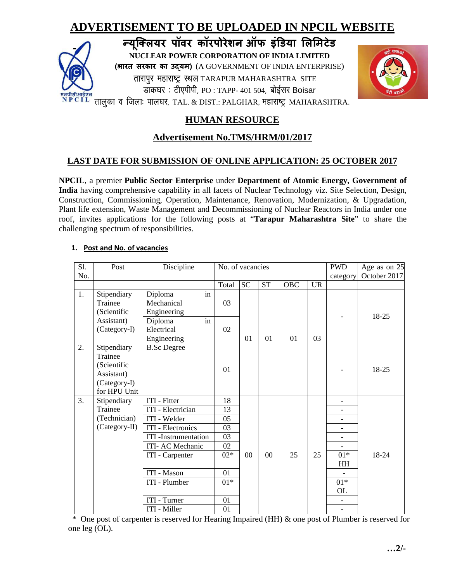# **ADVERTISEMENT TO BE UPLOADED IN NPCIL WEBSITE**





# **HUMAN RESOURCE**

# **Advertisement No.TMS/HRM/01/2017**

## **LAST DATE FOR SUBMISSION OF ONLINE APPLICATION: 25 OCTOBER 2017**

**NPCIL**, a premier **Public Sector Enterprise** under **Department of Atomic Energy, Government of India** having comprehensive capability in all facets of Nuclear Technology viz. Site Selection, Design, Construction, Commissioning, Operation, Maintenance, Renovation, Modernization, & Upgradation, Plant life extension, Waste Management and Decommissioning of Nuclear Reactors in India under one roof, invites applications for the following posts at "**Tarapur Maharashtra Site**" to share the challenging spectrum of responsibilities.

| S1. | Post                                                                                | Discipline                                 | No. of vacancies |           |           | <b>PWD</b> | Age as on 25 |                          |       |
|-----|-------------------------------------------------------------------------------------|--------------------------------------------|------------------|-----------|-----------|------------|--------------|--------------------------|-------|
| No. |                                                                                     |                                            |                  |           |           | category   | October 2017 |                          |       |
|     |                                                                                     |                                            | Total            | <b>SC</b> | <b>ST</b> | <b>OBC</b> | <b>UR</b>    |                          |       |
| 1.  | Stipendiary<br>Trainee<br>(Scientific                                               | in<br>Diploma<br>Mechanical<br>Engineering | 03               |           |           |            |              |                          | 18-25 |
|     | Assistant)<br>(Category-I)                                                          | in<br>Diploma<br>Electrical<br>Engineering | 02               | 01        | 01        | 01         | 03           |                          |       |
| 2.  | Stipendiary<br>Trainee<br>(Scientific<br>Assistant)<br>(Category-I)<br>for HPU Unit | <b>B.Sc Degree</b>                         | 01               |           |           |            |              |                          | 18-25 |
| 3.  | Stipendiary                                                                         | ITI - Fitter                               | 18               |           |           |            |              | $\overline{a}$           |       |
|     | Trainee                                                                             | ITI - Electrician                          | 13               |           |           |            |              | $\qquad \qquad -$        |       |
|     | (Technician)                                                                        | ITI - Welder                               | 05               |           |           |            |              |                          |       |
|     | (Category-II)                                                                       | ITI - Electronics                          | 03               |           |           |            |              |                          |       |
|     |                                                                                     | <b>ITI</b> - Instrumentation               | 03               |           |           |            |              | $\overline{\phantom{a}}$ |       |
|     |                                                                                     | ITI- AC Mechanic                           | 02               |           |           |            |              |                          |       |
|     |                                                                                     | ITI - Carpenter                            | $02*$            | 00        | 00        | 25         | 25           | $01*$<br>HH              | 18-24 |
|     |                                                                                     | ITI - Mason                                | 01               |           |           |            |              |                          |       |
|     |                                                                                     | ITI - Plumber                              | $01*$            |           |           |            |              | $01*$<br>OL              |       |
|     |                                                                                     | <b>ITI</b> - Turner                        | 01               |           |           |            |              |                          |       |
|     |                                                                                     | ITI - Miller                               | 01               |           |           |            |              |                          |       |

#### **1. Post and No. of vacancies**

 \* One post of carpenter is reserved for Hearing Impaired (HH) & one post of Plumber is reserved for one leg (OL).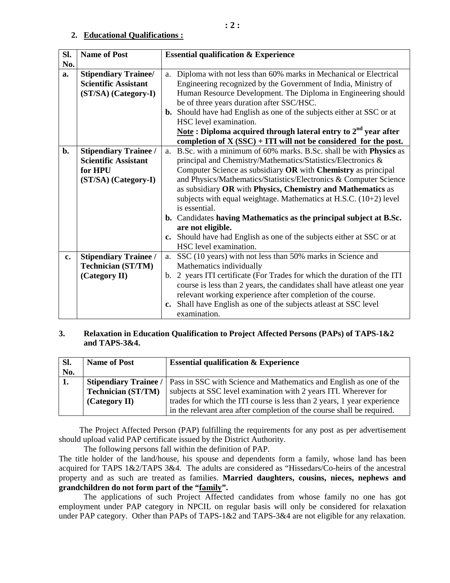#### **2. Educational Qualifications :**

| SI. | <b>Name of Post</b>          | <b>Essential qualification &amp; Experience</b>                              |  |  |  |
|-----|------------------------------|------------------------------------------------------------------------------|--|--|--|
| No. |                              |                                                                              |  |  |  |
| a.  | <b>Stipendiary Trainee/</b>  | Diploma with not less than 60% marks in Mechanical or Electrical<br>a.       |  |  |  |
|     | <b>Scientific Assistant</b>  | Engineering recognized by the Government of India, Ministry of               |  |  |  |
|     | (ST/SA) (Category-I)         | Human Resource Development. The Diploma in Engineering should                |  |  |  |
|     |                              | be of three years duration after SSC/HSC.                                    |  |  |  |
|     |                              | <b>b.</b> Should have had English as one of the subjects either at SSC or at |  |  |  |
|     |                              | HSC level examination.                                                       |  |  |  |
|     |                              | <u>Note</u> : Diploma acquired through lateral entry to $2nd$ year after     |  |  |  |
|     |                              | completion of $X (SSC) + ITI$ will not be considered for the post.           |  |  |  |
| b.  | <b>Stipendiary Trainee /</b> | a. B.Sc. with a minimum of 60% marks. B.Sc. shall be with <b>Physics</b> as  |  |  |  |
|     | <b>Scientific Assistant</b>  | principal and Chemistry/Mathematics/Statistics/Electronics &                 |  |  |  |
|     | for HPU                      | Computer Science as subsidiary OR with Chemistry as principal                |  |  |  |
|     | (ST/SA) (Category-I)         | and Physics/Mathematics/Statistics/Electronics & Computer Science            |  |  |  |
|     |                              | as subsidiary OR with Physics, Chemistry and Mathematics as                  |  |  |  |
|     |                              | subjects with equal weightage. Mathematics at H.S.C. $(10+2)$ level          |  |  |  |
|     |                              | is essential.                                                                |  |  |  |
|     |                              | b. Candidates having Mathematics as the principal subject at B.Sc.           |  |  |  |
|     |                              | are not eligible.                                                            |  |  |  |
|     |                              | c. Should have had English as one of the subjects either at SSC or at        |  |  |  |
|     |                              | HSC level examination.                                                       |  |  |  |
| c.  | <b>Stipendiary Trainee /</b> | a. SSC (10 years) with not less than 50% marks in Science and                |  |  |  |
|     | <b>Technician (ST/TM)</b>    | Mathematics individually                                                     |  |  |  |
|     | (Category II)                | b. 2 years ITI certificate (For Trades for which the duration of the ITI     |  |  |  |
|     |                              | course is less than 2 years, the candidates shall have atleast one year      |  |  |  |
|     |                              | relevant working experience after completion of the course.                  |  |  |  |
|     |                              | c. Shall have English as one of the subjects at east at SSC level            |  |  |  |
|     |                              | examination.                                                                 |  |  |  |

#### **3. Relaxation in Education Qualification to Project Affected Persons (PAPs) of TAPS-1&2 and TAPS-3&4.**

| SI. | <b>Name of Post</b>          | <b>Essential qualification &amp; Experience</b>                         |
|-----|------------------------------|-------------------------------------------------------------------------|
| No. |                              |                                                                         |
| 1.  | <b>Stipendiary Trainee /</b> | Pass in SSC with Science and Mathematics and English as one of the      |
|     | <b>Technician (ST/TM)</b>    | subjects at SSC level examination with 2 years ITI. Wherever for        |
|     | (Category II)                | trades for which the ITI course is less than 2 years, 1 year experience |
|     |                              | in the relevant area after completion of the course shall be required.  |

 The Project Affected Person (PAP) fulfilling the requirements for any post as per advertisement should upload valid PAP certificate issued by the District Authority.

The following persons fall within the definition of PAP.

The title holder of the land/house, his spouse and dependents form a family, whose land has been acquired for TAPS 1&2/TAPS 3&4. The adults are considered as "Hissedars/Co-heirs of the ancestral property and as such are treated as families. **Married daughters, cousins, nieces, nephews and grandchildren do not form part of the "family".** 

 The applications of such Project Affected candidates from whose family no one has got employment under PAP category in NPCIL on regular basis will only be considered for relaxation under PAP category. Other than PAPs of TAPS-1&2 and TAPS-3&4 are not eligible for any relaxation.